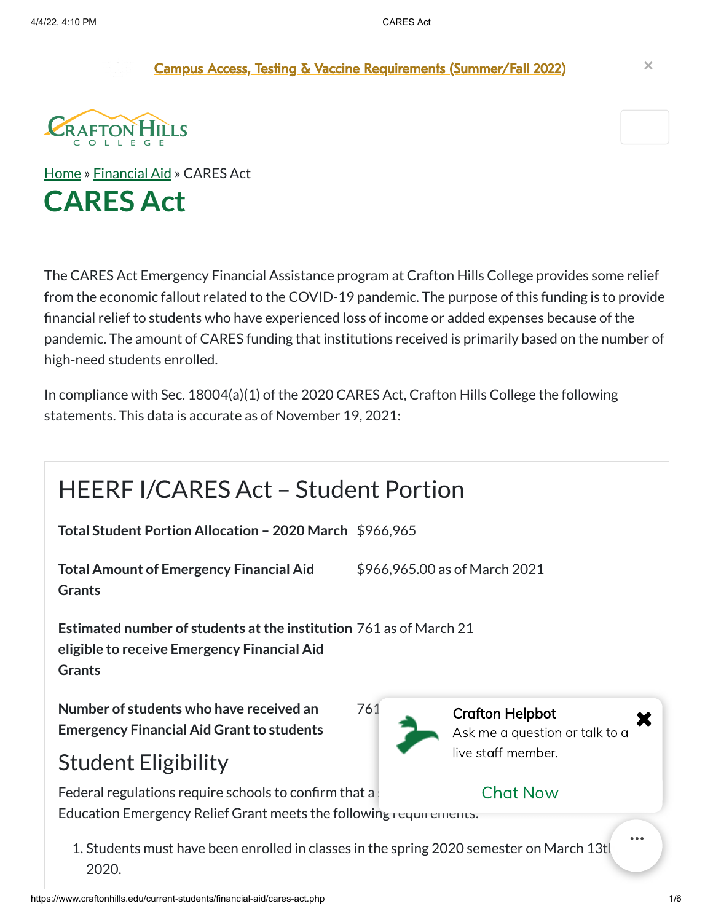Campus Access, Testing & Vaccine [Requirements](https://sbccd.edu/covid) (Summer/Fall 2022) **×**



[Home](https://www.craftonhills.edu/index.php) » [Financial](https://www.craftonhills.edu/current-students/financial-aid/index.php) Aid » CARES Act **CARES Act**

The CARES Act Emergency Financial Assistance program at Crafton Hills College provides some relief from the economic fallout related to the COVID-19 pandemic. The purpose of this funding is to provide financial relief to students who have experienced loss of income or added expenses because of the pandemic. The amount of CARES funding that institutions received is primarily based on the number of high-need students enrolled.

In compliance with Sec. 18004(a)(1) of the 2020 CARES Act, Crafton Hills College the following statements. This data is accurate as of November 19, 2021:

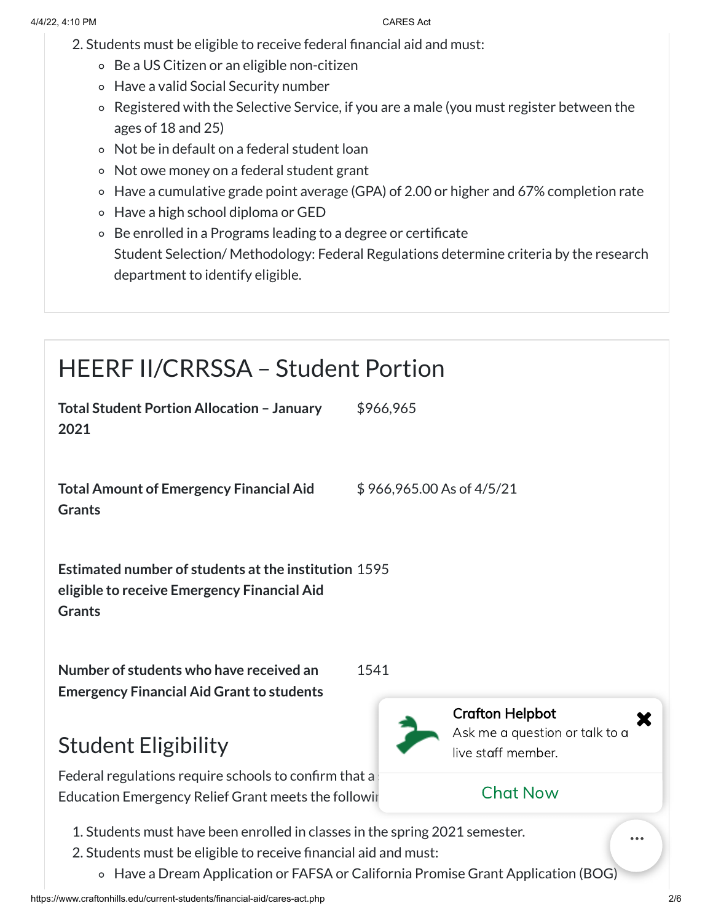- 2. Students must be eligible to receive federal financial aid and must:
	- Be a US Citizen or an eligible non-citizen
	- Have a valid Social Security number
	- Registered with the Selective Service, if you are a male (you must register between the ages of 18 and 25)
	- Not be in default on a federal student loan
	- Not owe money on a federal student grant
	- Have a cumulative grade point average (GPA) of 2.00 or higher and 67% completion rate
	- Have a high school diploma or GED
	- Be enrolled in a Programs leading to a degree or certificate Student Selection/ Methodology: Federal Regulations determine criteria by the research department to identify eligible.

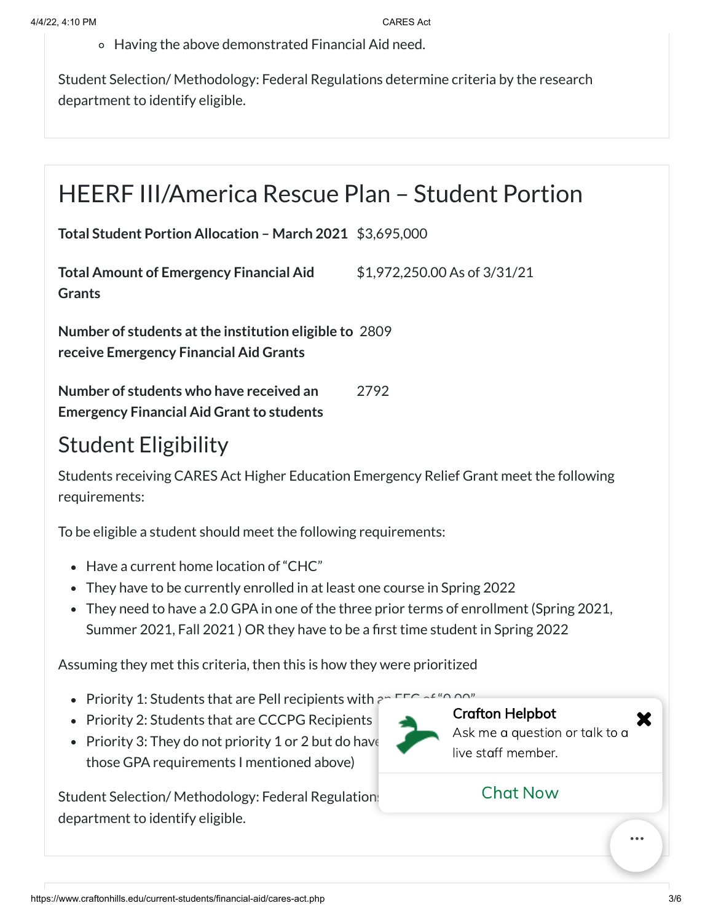Having the above demonstrated Financial Aid need.

Student Selection/ Methodology: Federal Regulations determine criteria by the research department to identify eligible.

### HEERF III/America Rescue Plan – Student Portion

**Total Student Portion Allocation – March 2021** \$3,695,000

**Total Amount of Emergency Financial Aid Grants** \$1,972,250.00 As of 3/31/21

**Number of students atthe institution eligible to** 2809 **receive Emergency Financial Aid Grants**

**Number of students who have received an Emergency Financial Aid Grant to students** 2792

### Student Eligibility

Students receiving CARES Act Higher Education Emergency Relief Grant meet the following requirements:

To be eligible a student should meet the following requirements:

- Have a current home location of "CHC"
- They have to be currently enrolled in at least one course in Spring 2022
- They need to have a 2.0 GPA in one of the three prior terms of enrollment (Spring 2021, Summer 2021, Fall 2021 ) OR they have to be a first time student in Spring 2022

Assuming they met this criteria, then this is how they were prioritized

- Priority 1: Students that are Pell recipients with  $\epsilon$
- Priority 2: Students that are CCCPG Recipients
- Priority 3: They do not priority 1 or 2 but do have those GPA requirements I mentioned above)

Student Selection/ Methodology: Federal Regulations department to identify eligible.



Crafton Helpbot Ask me a question or talk to a live staff member.

#### Chat Now

https://www.craftonhills.edu/current-students/financial-aid/cares-act.php 3/6

X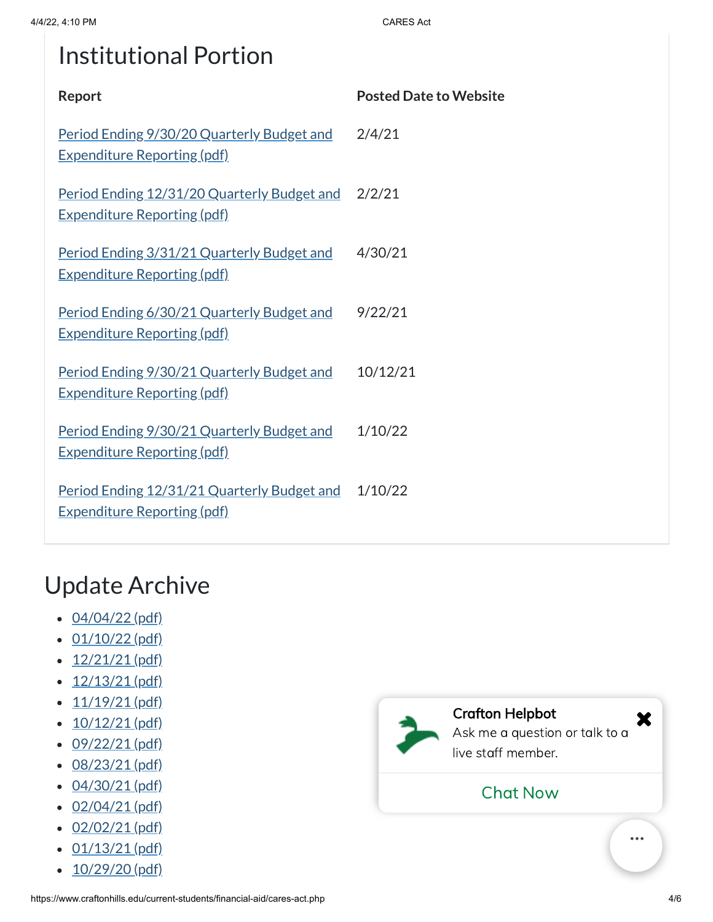# Institutional Portion

| Report                                                                            | <b>Posted Date to Website</b> |
|-----------------------------------------------------------------------------------|-------------------------------|
| Period Ending 9/30/20 Quarterly Budget and<br><b>Expenditure Reporting (pdf)</b>  | 2/4/21                        |
| Period Ending 12/31/20 Quarterly Budget and<br><u>Expenditure Reporting (pdf)</u> | 2/2/21                        |
| Period Ending 3/31/21 Quarterly Budget and<br><u>Expenditure Reporting (pdf)</u>  | 4/30/21                       |
| Period Ending 6/30/21 Quarterly Budget and<br><u>Expenditure Reporting (pdf)</u>  | 9/22/21                       |
| Period Ending 9/30/21 Quarterly Budget and<br><u>Expenditure Reporting (pdf)</u>  | 10/12/21                      |
| Period Ending 9/30/21 Quarterly Budget and<br><u>Expenditure Reporting (pdf)</u>  | 1/10/22                       |
| Period Ending 12/31/21 Quarterly Budget and<br><b>Expenditure Reporting (pdf)</b> | 1/10/22                       |

## Update Archive

- $-04/04/22$  $-04/04/22$  (pdf)
- $\cdot$  [01/10/22](https://www.craftonhills.edu/current-students/financial-aid/documents/cares-act-page-01-10-22.pdf) (pdf)
- $\cdot$  [12/21/21](https://www.craftonhills.edu/current-students/financial-aid/documents/cares-act-page-12-21-21.pdf) (pdf)
- $\cdot$  [12/13/21](https://www.craftonhills.edu/current-students/financial-aid/documents/cares-act-page-12-13-21.pdf) (pdf)
- $\cdot$   $11/19/21$  (pdf)
- $\cdot$  [10/12/21](https://www.craftonhills.edu/current-students/financial-aid/documents/cares-act-page-10-12-21.pdf) (pdf)
- $\cdot$  [09/22/21](https://www.craftonhills.edu/current-students/financial-aid/documents/cares-act-page-9-22-21.pdf) (pdf)
- [08/23/21](https://www.craftonhills.edu/current-students/financial-aid/documents/cares-act-page-8-23-21.pdf) (pdf)
- [04/30/21](https://www.craftonhills.edu/current-students/financial-aid/documents/casres-act-page-4-30-21.pdf) (pdf)
- $\cdot$  [02/04/21](https://www.craftonhills.edu/current-students/financial-aid/documents/cares-act-page-2-4-21.pdf) (pdf)
- $-02/02/21$  $-02/02/21$  (pdf)
- $\cdot$  [01/13/21](https://www.craftonhills.edu/current-students/financial-aid/documents/cares-act-page-1-13-21.pdf) (pdf)
- $\cdot$  [10/29/20](https://www.craftonhills.edu/current-students/financial-aid/documents/cares-act-page-10-29-20.pdf) (pdf)

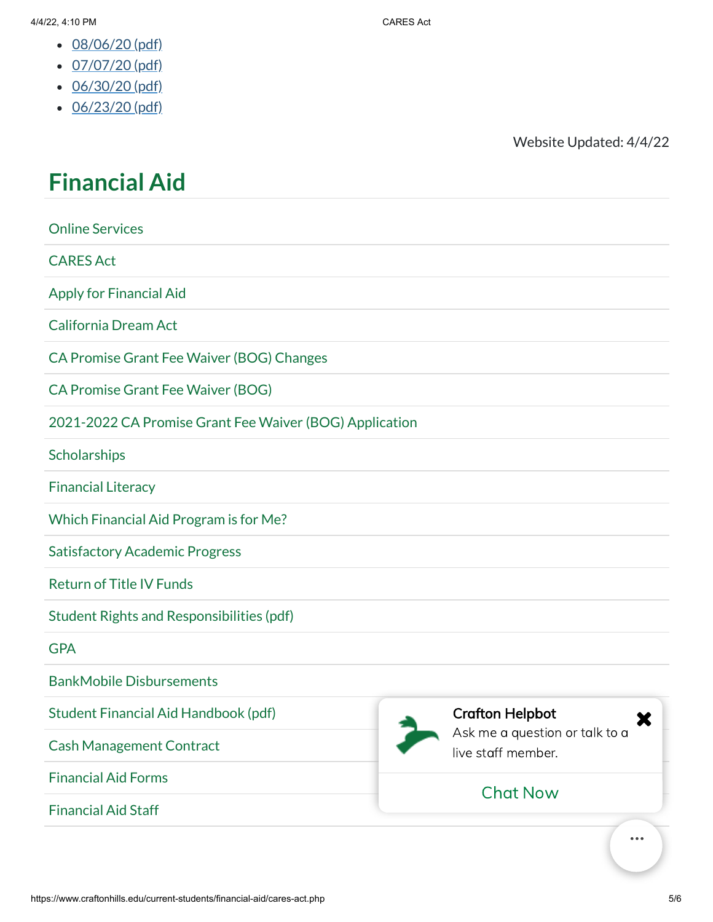- $-08/06/20$  $-08/06/20$  (pdf)
- $\cdot$  [07/07/20](https://www.craftonhills.edu/current-students/financial-aid/documents/cares-act-page-7-7-20.pdf) (pdf)
- $\cdot$  [06/30/20](https://www.craftonhills.edu/current-students/financial-aid/documents/cares-act-page-6-30-20.pdf) (pdf)
- $\cdot$  [06/23/20](https://www.craftonhills.edu/current-students/financial-aid/documents/cares-act-page-6-23-20.pdf) (pdf)

Website Updated: 4/4/22

# **[Financial](https://www.craftonhills.edu/current-students/financial-aid/index.php) Aid**

Online [Services](https://www.craftonhills.edu/current-students/financial-aid/online-services.php) [CARES](https://www.craftonhills.edu/current-students/financial-aid/cares-act.php) Act Apply for [Financial](https://www.craftonhills.edu/current-students/financial-aid/apply-for-financial-aid/index.php) Aid [California](http://www.csac.ca.gov/dream_act.asp) Dream Act CA Promise Grant Fee Waiver (BOG) [Changes](https://www.craftonhills.edu/current-students/financial-aid/bog-changes) CA [Promise](https://www.craftonhills.edu/current-students/financial-aid/bog-fee-waiver) Grant Fee Waiver (BOG) 2021-2022 CA Promise Grant Fee Waiver (BOG) [Application](https://www.craftonhills.edu/current-students/financial-aid/2020-2021-old-bog.php) **[Scholarships](https://www.craftonhills.edu/current-students/scholarships/index.php)** [Financial](https://www.craftonhills.edu/current-students/financial-aid/financial-literacy.php) Literacy Which Financial [Aid Program](https://www.craftonhills.edu/current-students/financial-aid/which-financial-aid-program/index.php) is for Me? Satisfactory [Academic Progress](https://www.craftonhills.edu/current-students/financial-aid/academic-progress/index.php) [Return](https://www.craftonhills.edu/current-students/financial-aid/return-of-title-iv-funds) of Title IV Funds Student Rights [and Responsibilities](https://www.craftonhills.edu/current-students/financial-aid/documents/rights-and-responsibilities-2022.pdf) (pdf) **[GPA](https://www.craftonhills.edu/current-students/financial-aid/gpa)** BankMobile [Disbursements](https://www.craftonhills.edu/current-students/financial-aid/bankmobile.php) Student Financial [Aid Handbook](https://www.craftonhills.edu/current-students/financial-aid/documents/student-financial-aid-handbook-2021-2022-completed-3-29-22.pdf) (pdf)

Cash [Management](https://www.craftonhills.edu/current-students/financial-aid/cash-management-contract.php) Contract

Financial [Aid Forms](https://www.craftonhills.edu/current-students/financial-aid/forms.php)

[Financial](https://www.craftonhills.edu/current-students/financial-aid/financial-aid-staff.php) Aid Staff



#### Crafton Helpbot

Ask me a question or talk to a live staff member.

#### Chat Now

https://www.craftonhills.edu/current-students/financial-aid/cares-act.php 5/6

X